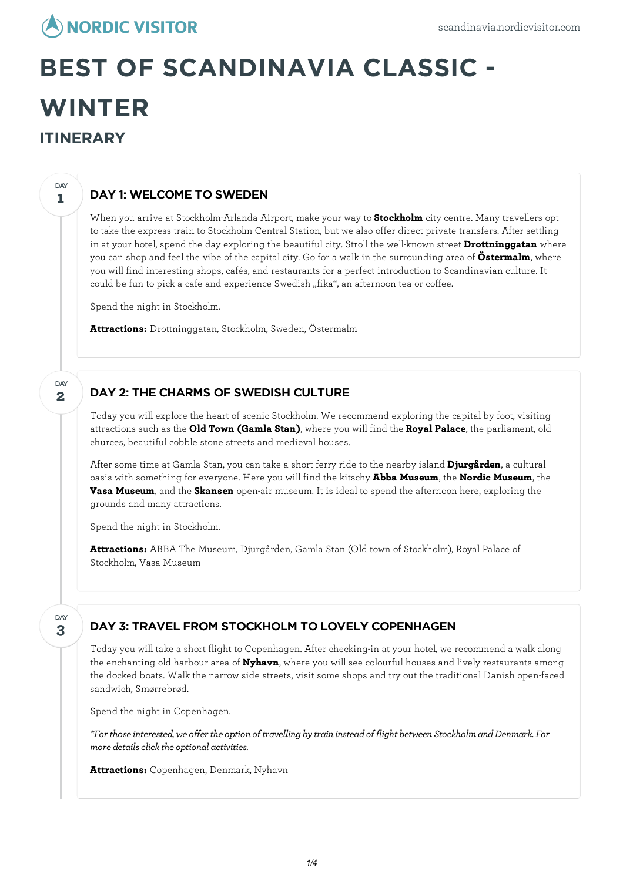## **NORDIC VISITOR**

# **BEST OF SCANDINAVIA CLASSIC - WINTER ITINERARY**

### DAY 1: WELCOME TO SWEDEN

When you arrive at Stockholm-Arlanda Airport, make your way to **Stockholm** city centre. Many travellers opt to take the express train to Stockholm Central Station, but we also offer direct private transfers. After settling in at your hotel, spend the day exploring the beautiful city. Stroll the well-known street **Drottninggatan** where you can shop and feel the vibe of the capital city. Go for a walk in the surrounding area of **Östermalm**, where you will find interesting shops, cafés, and restaurants for a perfect introduction to Scandinavian culture. It could be fun to pick a cafe and experience Swedish "fika", an afternoon tea or coffee.

Spend the night in Stockholm.

**Attractions:** Drottninggatan, Stockholm, Sweden, Östermalm

#### DAY 2: THE CHARMS OF SWEDISH CULTURE

Today you willexplore the heart of scenic Stockholm. We recommend exploring the capital by foot, visiting attractions such as the **Old Town (Gamla Stan)**, where you will find the **Royal Palace**, the parliament, old churces, beautiful cobble stone streets and medieval houses.

After some time at Gamla Stan, you can take a short ferry ride to the nearby island **Djurgården**, a cultural oasis with something for everyone. Here you will find the kitschy **Abba Museum**, the **Nordic Museum**, the **Vasa Museum**, and the **Skansen** open-air museum. It is ideal to spend the afternoon here, exploring the grounds and many attractions.

Spend the night in Stockholm.

**Attractions:** ABBA The Museum, Djurgården, Gamla Stan (Old town of Stockholm), Royal Palace of Stockholm, Vasa Museum

**3** DAY

**1**

**DAY** 

**2**

DAY

#### DAY 3: TRAVEL FROM STOCKHOLM TO LOVELY COPENHAGEN

Today you will take a short flight to Copenhagen. After checking-in at your hotel, we recommend a walk along the enchanting old harbour area of **Nyhavn**, where you will see colourful houses and lively restaurants among the docked boats. Walk the narrow side streets, visit some shops and try out the traditional Danish open-faced sandwich, Smørrebrød.

Spend the night in Copenhagen.

*\*For thoseinterested, we offer the option of travelling bytrain insteadof flight between StockholmandDenmark. For*  $m$ ore *details click the optional activities.* 

**Attractions:** Copenhagen, Denmark, Nyhavn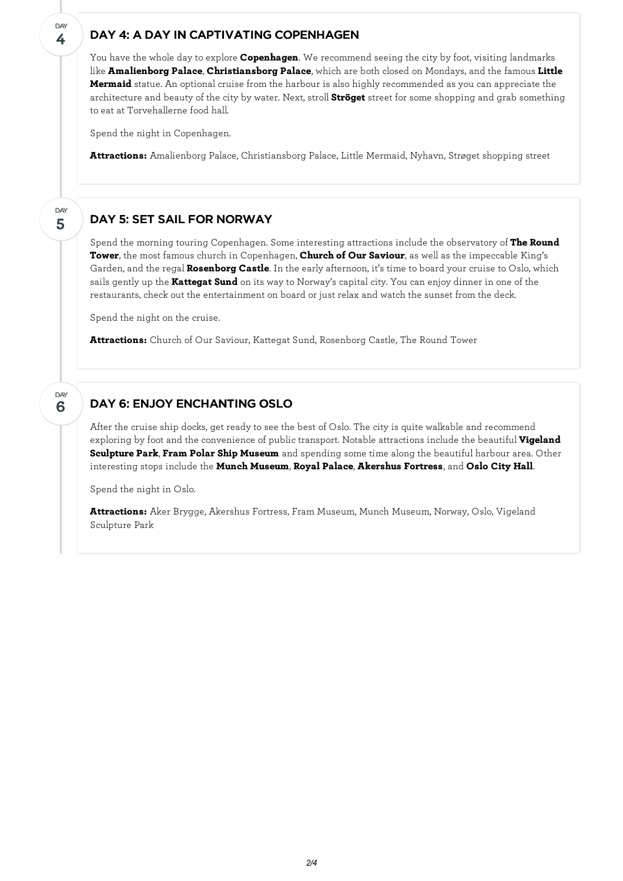#### DAY 4: A DAY IN CAPTIVATING COPENHAGEN

You have the whole day to explore **Copenhagen**. We recommend seeing the city by foot, visiting landmarks like **Amalienborg Palace**, **Christiansborg Palace**, which are both closed on Mondays, and the famous **Little Mermaid** statue. An optional cruise from the harbour is also highly recommended as you can appreciate the architecture and beauty of the city by water. Next, stroll **Ströget** street for some shopping and grab something to eat at Torvehallerne food hall.

Spend the night in Copenhagen.

**4**

**DAY** 

**5**

**DAY** 

**6**

**DAY** 

**Attractions:** Amalienborg Palace, Christiansborg Palace, Little Mermaid, Nyhavn, Strøget shopping street

#### DAY 5: SET SAIL FOR NORWAY

Spend the morning touring Copenhagen. Some interesting attractions include the observatory of **The Round Tower**, the most famous church in Copenhagen, **Church of Our Saviour**, as well as the impeccable King's Garden, and the regal **Rosenborg Castle**. In the early afternoon, it's time to board your cruise to Oslo, which sails gently up the **Kattegat Sund** on its way to Norway's capital city. You can enjoy dinner in one of the restaurants, check out the entertainment on board or just relax and watch the sunset from the deck.

Spend the night on the cruise.

**Attractions:** Church of Our Saviour, Kattegat Sund, Rosenborg Castle, The Round Tower

#### DAY 6: ENJOY ENCHANTING OSLO

After the cruise ship docks, get ready to see the best of Oslo. The city is quite walkable and recommend exploring by foot and the convenience of public transport. Notable attractions include the beautiful **Vigeland Sculpture Park**, **Fram Polar Ship Museum** and spending some time along the beautiful harbour area. Other interesting stops include the **Munch Museum**, **Royal Palace**, **Akershus Fortress**, and **Oslo City Hall**.

Spend the night in Oslo.

**Attractions:** Aker Brygge, Akershus Fortress, Fram Museum, Munch Museum, Norway, Oslo, Vigeland Sculpture Park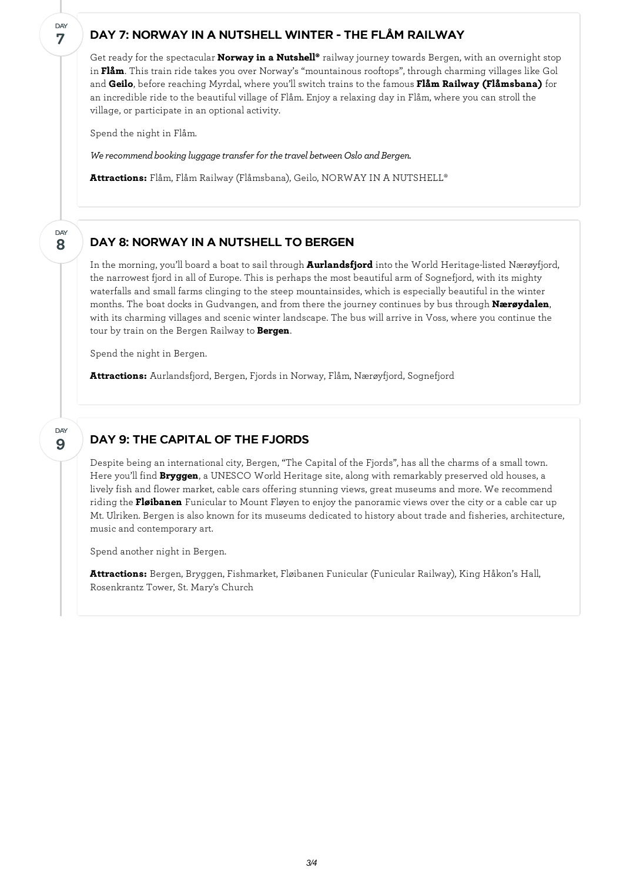#### DAY 7: NORWAY IN A NUTSHELL WINTER - THE FLÅM RAILWAY

Get ready for the spectacular **Norway in a Nutshell®** railway journey towards Bergen, with an overnight stop in **Flåm**. This train ride takes you over Norway's "mountainous rooftops", through charming villages like Gol and **Geilo**, before reaching Myrdal, where you'll switch trains to the famous **Flåm Railway (Flåmsbana)** for an incredible ride to the beautiful village of Flåm. Enjoy a relaxing day in Flåm, where you can stroll the village, or participate in an optional activity.

Spend the night in Flåm.

**7**

DAY

**8**

DAY

**9**

DAY

*We recommend booking luggage transfer for the travel between Oslo and Bergen.* 

**Attractions:** Flåm, Flåm Railway (Flåmsbana), Geilo, NORWAY IN A NUTSHELL®

#### DAY 8: NORWAY IN A NUTSHELL TO BERGEN

In the morning, you'll board a boat to sail through **Aurlandsfjord** into the World Heritage-listed Nærøyfjord, the narrowest fjord in all of Europe. This is perhaps the most beautiful arm of Sognefjord, with its mighty waterfalls and small farms clinging to the steep mountainsides, which is especially beautiful in the winter months. The boat docks in Gudvangen, and from there the journey continues by bus through **Nærøydalen**, with its charming villages and scenic winter landscape. The bus will arrive in Voss, where you continue the tour by train on the Bergen Railway to **Bergen**.

Spend the night in Bergen.

**Attractions:** Aurlandsfjord, Bergen, Fjords in Norway, Flåm, Nærøyfjord, Sognefjord

### DAY 9: THE CAPITAL OF THE FJORDS

Despite being an international city, Bergen, "The Capital of the Fjords", has all the charms of a small town. Here you'll find **Bryggen**, a UNESCO World Heritage site, along with remarkably preserved old houses, a lively fish and flower market, cable cars offering stunning views, great museums and more. We recommend riding the **Fløibanen** Funicular to Mount Fløyen to enjoy the panoramic views over the city or a cable car up Mt. Ulriken. Bergen is also known for its museums dedicated to history about trade and fisheries, architecture, music and contemporary art.

Spend another night in Bergen.

**Attractions:** Bergen, Bryggen, Fishmarket, Fløibanen Funicular (Funicular Railway), King Håkon's Hall, Rosenkrantz Tower, St. Mary's Church